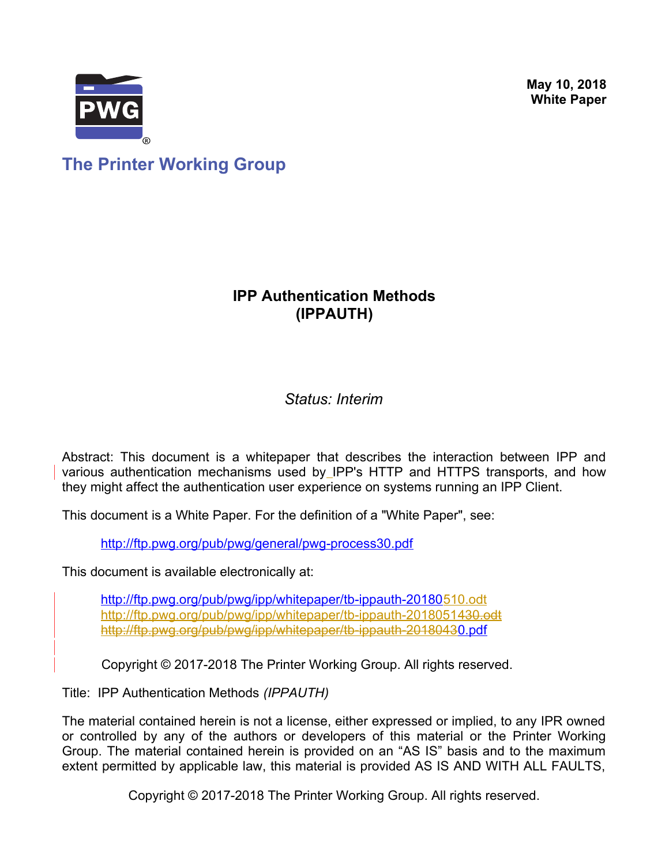**May 10, 2018 White Paper**



**The Printer Working Group**

## **IPP Authentication Methods (IPPAUTH)**

### *Status: Interim*

Abstract: This document is a whitepaper that describes the interaction between IPP and various authentication mechanisms used by IPP's HTTP and HTTPS transports, and how they might affect the authentication user experience on systems running an IPP Client.

This document is a White Paper. For the definition of a "White Paper", see:

<http://ftp.pwg.org/pub/pwg/general/pwg-process30.pdf>

This document is available electronically at:

<http://ftp.pwg.org/pub/pwg/ipp/whitepaper/tb-ippauth-20180510.odt>  [http://ftp.pwg.org/pub/pwg/ipp/whitepaper/tb-ippauth-2018051](http://ftp.pwg.org/pub/pwg/ipp/whitepaper/tb-ippauth-20180510.pdf)[430.odt](http://ftp.pwg.org/pub/pwg/ipp/whitepaper/tb-ippauth-20180430.odt)  [http://ftp.pwg.org/pub/pwg/ipp/whitepaper/tb-ippauth-2018043](http://ftp.pwg.org/pub/pwg/ipp/whitepaper/tb-ippauth-20180430.pdf)[0.pdf](http://ftp.pwg.org/pub/pwg/ipp/whitepaper/tb-ippauth-20180510.pdf)

Copyright © 2017-2018 The Printer Working Group. All rights reserved.

Title: IPP Authentication Methods *(IPPAUTH)*

The material contained herein is not a license, either expressed or implied, to any IPR owned or controlled by any of the authors or developers of this material or the Printer Working Group. The material contained herein is provided on an "AS IS" basis and to the maximum extent permitted by applicable law, this material is provided AS IS AND WITH ALL FAULTS,

Copyright © 2017-2018 The Printer Working Group. All rights reserved.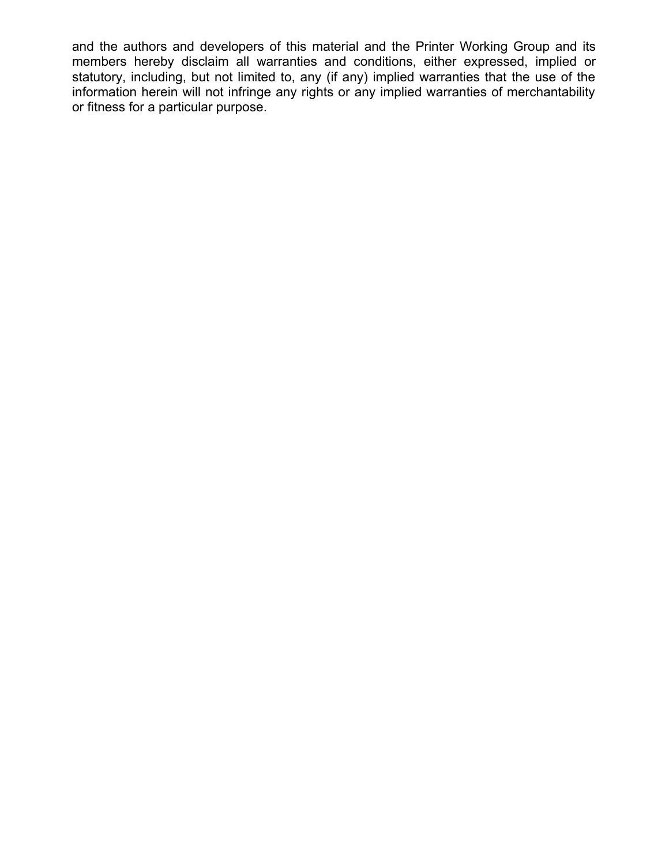and the authors and developers of this material and the Printer Working Group and its members hereby disclaim all warranties and conditions, either expressed, implied or statutory, including, but not limited to, any (if any) implied warranties that the use of the information herein will not infringe any rights or any implied warranties of merchantability or fitness for a particular purpose.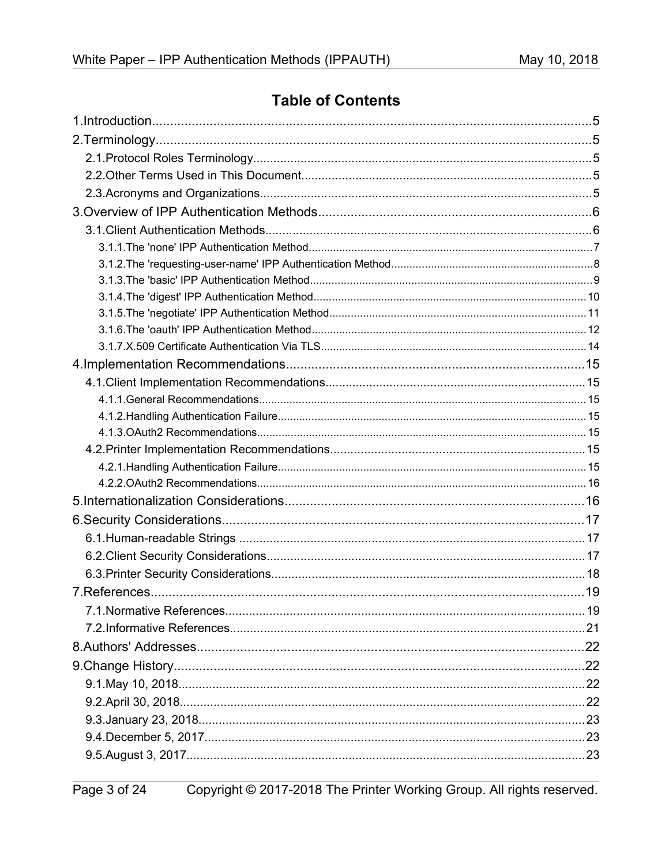## **Table of Contents**

Copyright © 2017-2018 The Printer Working Group. All rights reserved.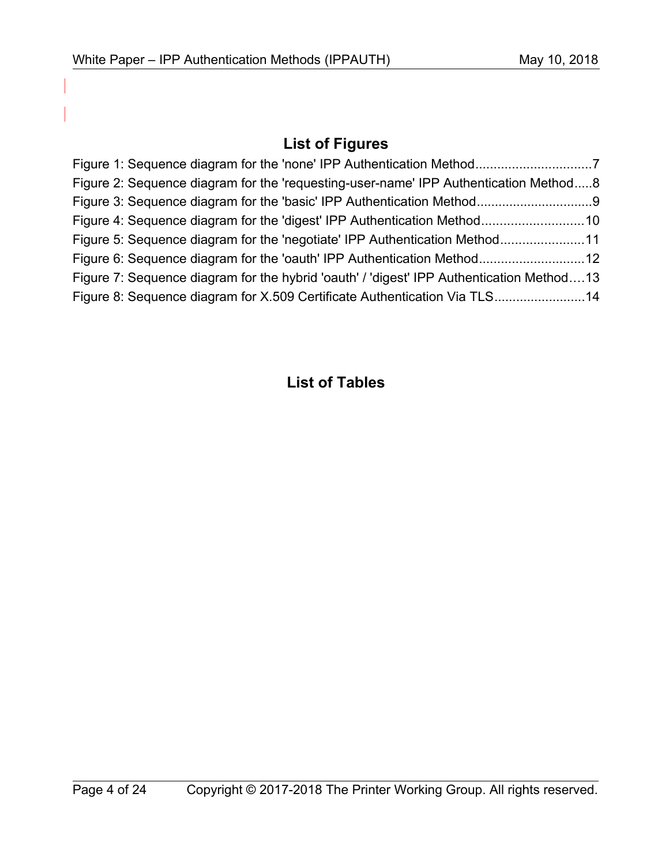## **List of Figures**

| Figure 2: Sequence diagram for the 'requesting-user-name' IPP Authentication Method8     |  |
|------------------------------------------------------------------------------------------|--|
|                                                                                          |  |
| Figure 4: Sequence diagram for the 'digest' IPP Authentication Method10                  |  |
| Figure 5: Sequence diagram for the 'negotiate' IPP Authentication Method11               |  |
|                                                                                          |  |
| Figure 7: Sequence diagram for the hybrid 'oauth' / 'digest' IPP Authentication Method13 |  |
| Figure 8: Sequence diagram for X.509 Certificate Authentication Via TLS14                |  |

## **List of Tables**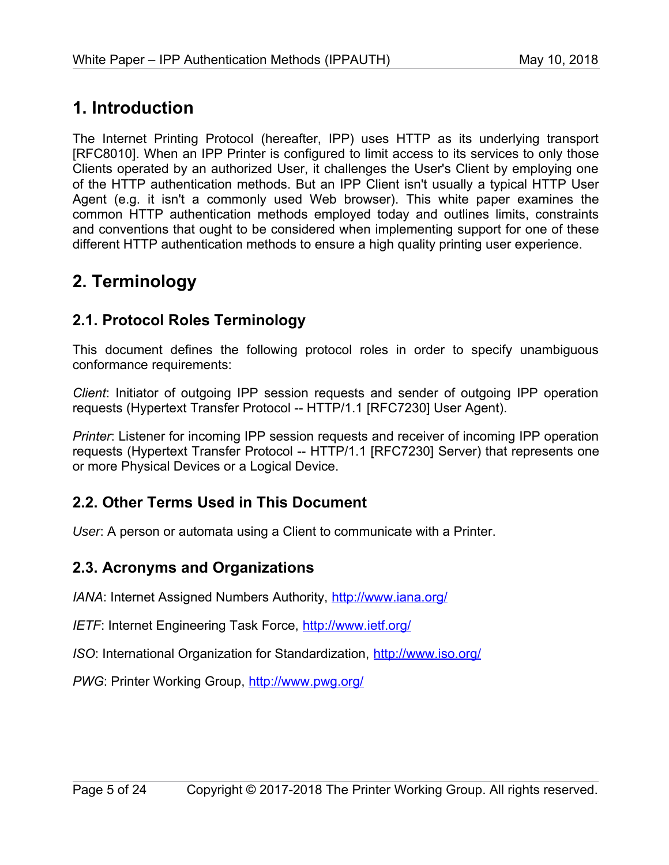# **1. Introduction**

The Internet Printing Protocol (hereafter, IPP) uses HTTP as its underlying transport [\[RFC8010\].](#page-20-0) When an IPP Printer is configured to limit access to its services to only those Clients operated by an authorized User, it challenges the User's Client by employing one of the HTTP authentication methods. But an IPP Client isn't usually a typical HTTP User Agent (e.g. it isn't a commonly used Web browser). This white paper examines the common HTTP authentication methods employed today and outlines limits, constraints and conventions that ought to be considered when implementing support for one of these different HTTP authentication methods to ensure a high quality printing user experience.

# **2. Terminology**

## **2.1. Protocol Roles Terminology**

This document defines the following protocol roles in order to specify unambiguous conformance requirements:

*Client*: Initiator of outgoing IPP session requests and sender of outgoing IPP operation requests (Hypertext Transfer Protocol -- HTTP/1.1 [\[RFC7230\]](#page-20-1) User Agent).

*Printer*: Listener for incoming IPP session requests and receiver of incoming IPP operation requests (Hypertext Transfer Protocol -- HTTP/1.1 [\[RFC7230\]](#page-20-1) Server) that represents one or more Physical Devices or a Logical Device.

### **2.2. Other Terms Used in This Document**

User: A person or automata using a Client to communicate with a Printer.

### **2.3. Acronyms and Organizations**

*IANA*: Internet Assigned Numbers Authority,<http://www.iana.org/>

*IETF*: Internet Engineering Task Force,<http://www.ietf.org/>

*ISO*: International Organization for Standardization,<http://www.iso.org/>

PWG: Printer Working Group,<http://www.pwg.org/>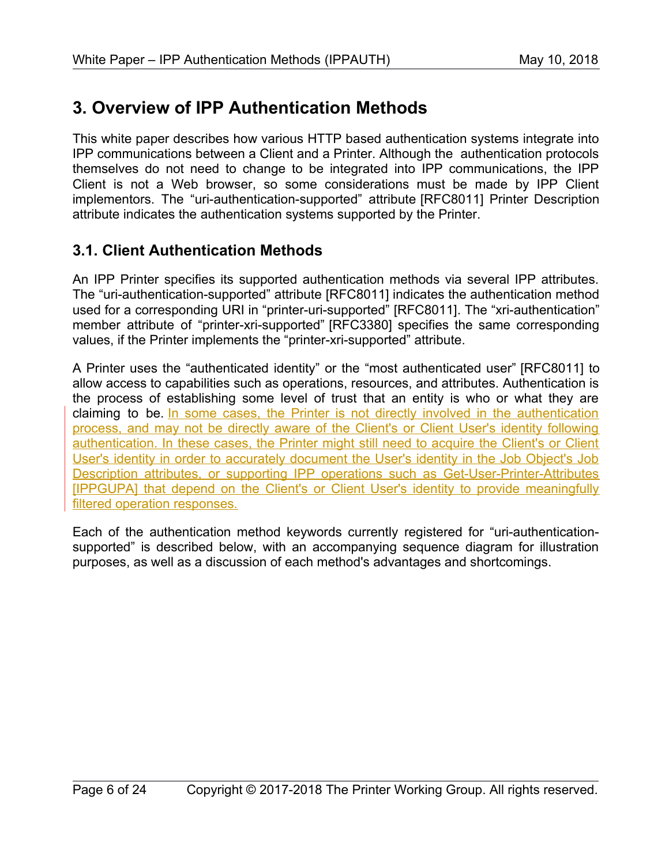# **3. Overview of IPP Authentication Methods**

This white paper describes how various HTTP based authentication systems integrate into IPP communications between a Client and a Printer. Although the authentication protocols themselves do not need to change to be integrated into IPP communications, the IPP Client is not a Web browser, so some considerations must be made by IPP Client implementors. The "uri-authentication-supported" attribute [\[RFC8011\]](#page-20-2) Printer Description attribute indicates the authentication systems supported by the Printer.

## **3.1. Client Authentication Methods**

An IPP Printer specifies its supported authentication methods via several IPP attributes. The "uri-authentication-supported" attribute [\[RFC8011\]](#page-20-2) indicates the authentication method used for a corresponding URI in "printer-uri-supported" [\[RFC8011\].](#page-20-2) The "xri-authentication" member attribute of "printer-xri-supported" [\[RFC3380\]](#page-19-0) specifies the same corresponding values, if the Printer implements the "printer-xri-supported" attribute.

A Printer uses the "authenticated identity" or the "most authenticated user" [\[RFC8011\]](#page-20-2) to allow access to capabilities such as operations, resources, and attributes. Authentication is the process of establishing some level of trust that an entity is who or what they are claiming to be. In some cases, the Printer is not directly involved in the authentication process, and may not be directly aware of the Client's or Client User's identity following authentication. In these cases, the Printer might still need to acquire the Client's or Client User's identity in order to accurately document the User's identity in the Job Object's Job Description attributes, or supporting IPP operations such as Get-User-Printer-Attributes [\[IPPGUPA\]](#page-21-0) that depend on the Client's or Client User's identity to provide meaningfully filtered operation responses.

Each of the authentication method keywords currently registered for "uri-authenticationsupported" is described below, with an accompanying sequence diagram for illustration purposes, as well as a discussion of each method's advantages and shortcomings.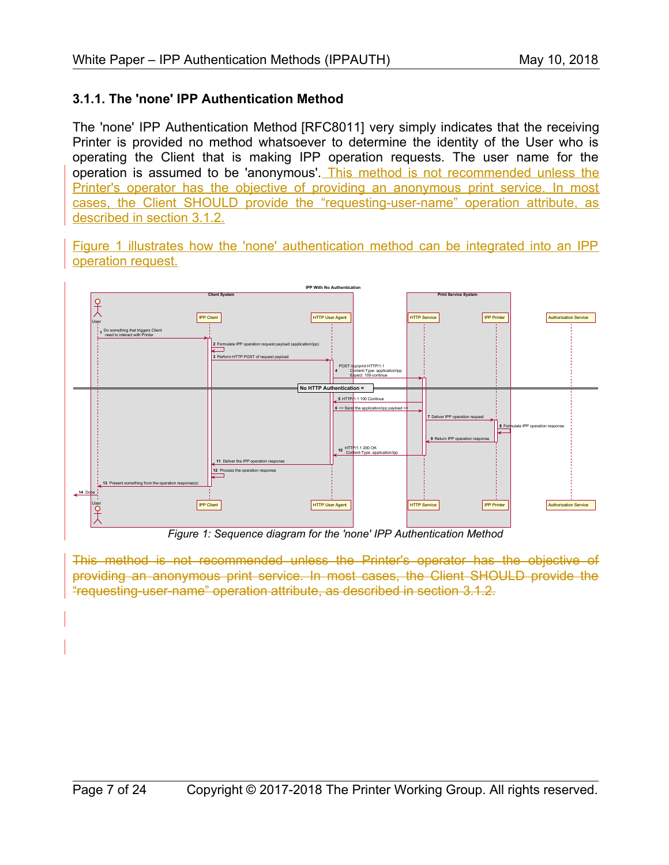#### **3.1.1. The 'none' IPP Authentication Method**

The 'none' IPP Authentication Method [\[RFC8011\]](#page-20-2) very simply indicates that the receiving Printer is provided no method whatsoever to determine the identity of the User who is operating the Client that is making IPP operation requests. The user name for the operation is assumed to be 'anonymous'. This method is not recommended unless the Printer's operator has the objective of providing an anonymous print service. In most cases, the Client SHOULD provide the "requesting-user-name" operation attribute, as described in section [3.1.2.](#page-7-0)

[Figure 1](#page-6-0) illustrates how the 'none' authentication method can be integrated into an IPP operation request.



<span id="page-6-0"></span>*Figure 1: Sequence diagram for the 'none' IPP Authentication Method*

This method is not recommended unless the Printer's operator has the objective of providing an anonymous print service. In most cases, the Client SHOULD provide the "requesting-user-name" operation attribute, as described in section [3.1.2.](#page-7-0)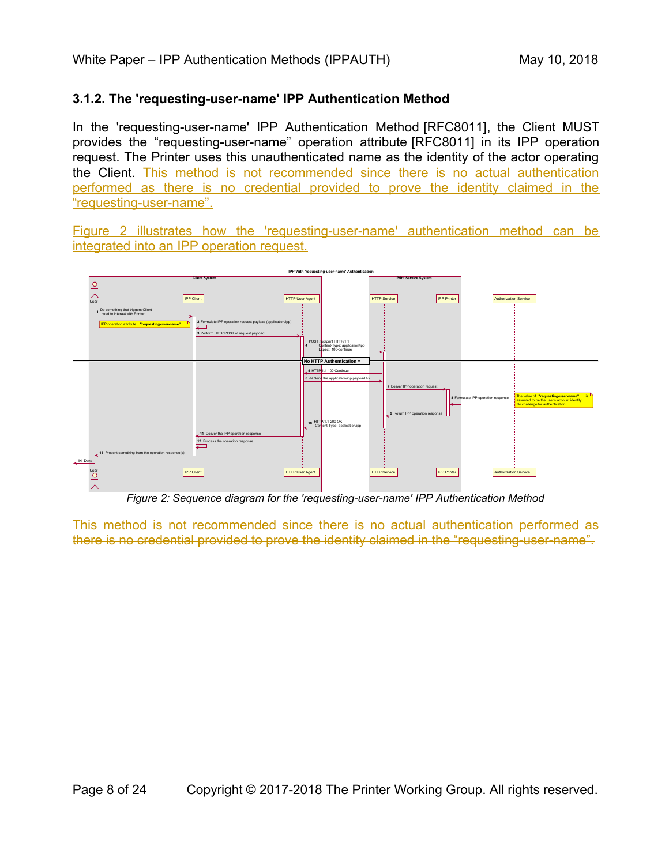#### <span id="page-7-0"></span>**3.1.2. The 'requesting-user-name' IPP Authentication Method**

In the 'requesting-user-name' IPP Authentication Method [\[RFC8011\],](#page-20-2) the Client MUST provides the "requesting-user-name" operation attribute [\[RFC8011\]](#page-20-2) in its IPP operation request. The Printer uses this unauthenticated name as the identity of the actor operating the Client. This method is not recommended since there is no actual authentication performed as there is no credential provided to prove the identity claimed in the "requesting-user-name".

[Figure 2](#page-7-1) illustrates how the 'requesting-user-name' authentication method can be integrated into an IPP operation request.



<span id="page-7-1"></span>*Figure 2: Sequence diagram for the 'requesting-user-name' IPP Authentication Method*

This method is not recommended since there is no actual authentication performed as there is no credential provided to prove the identity claimed in the "requesting-user-name".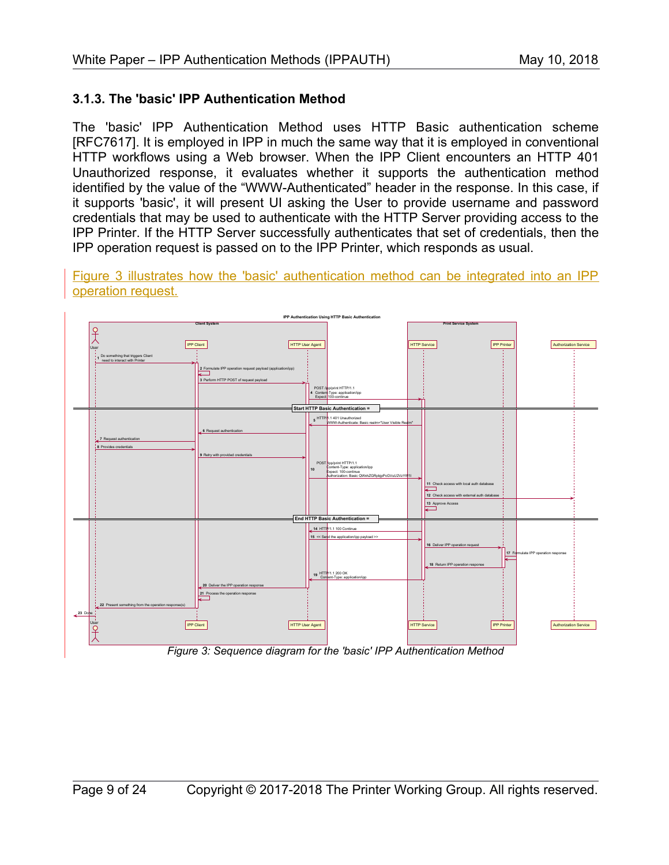#### **3.1.3. The 'basic' IPP Authentication Method**

The 'basic' IPP Authentication Method uses HTTP Basic authentication scheme [\[RFC7617\].](#page-20-3) It is employed in IPP in much the same way that it is employed in conventional HTTP workflows using a Web browser. When the IPP Client encounters an HTTP 401 Unauthorized response, it evaluates whether it supports the authentication method identified by the value of the "WWW-Authenticated" header in the response. In this case, if it supports 'basic', it will present UI asking the User to provide username and password credentials that may be used to authenticate with the HTTP Server providing access to the IPP Printer. If the HTTP Server successfully authenticates that set of credentials, then the IPP operation request is passed on to the IPP Printer, which responds as usual.

[Figure 3](#page-8-0) illustrates how the 'basic' authentication method can be integrated into an IPP operation request.



<span id="page-8-0"></span>*Figure 3: Sequence diagram for the 'basic' IPP Authentication Method*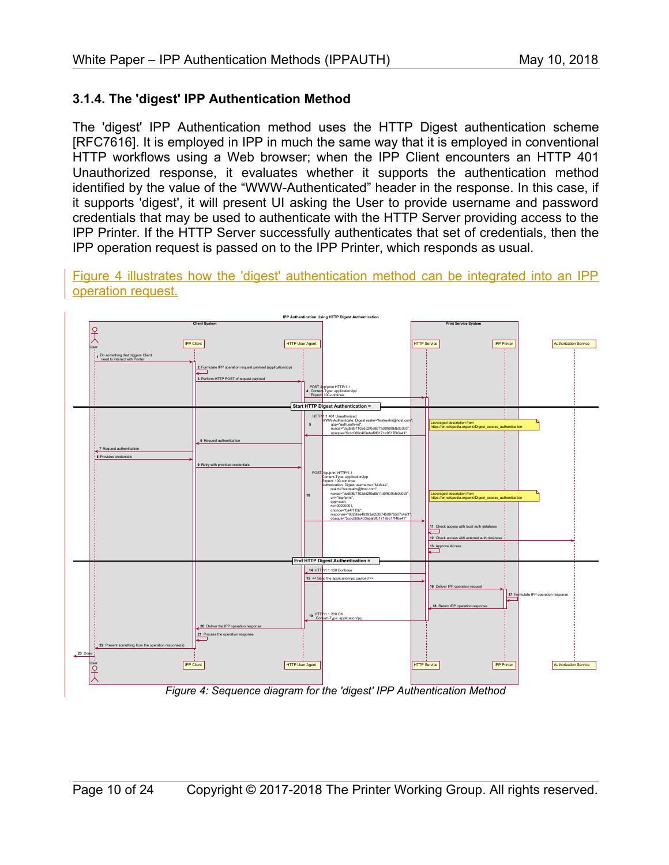#### **3.1.4. The 'digest' IPP Authentication Method**

The 'digest' IPP Authentication method uses the HTTP Digest authentication scheme [\[RFC7616\].](#page-20-4) It is employed in IPP in much the same way that it is employed in conventional HTTP workflows using a Web browser; when the IPP Client encounters an HTTP 401 Unauthorized response, it evaluates whether it supports the authentication method identified by the value of the "WWW-Authenticated" header in the response. In this case, if it supports 'digest', it will present UI asking the User to provide username and password credentials that may be used to authenticate with the HTTP Server providing access to the IPP Printer. If the HTTP Server successfully authenticates that set of credentials, then the IPP operation request is passed on to the IPP Printer, which responds as usual.

[Figure 4](#page-9-0) illustrates how the 'digest' authentication method can be integrated into an IPP operation request.



<span id="page-9-0"></span>*Figure 4: Sequence diagram for the 'digest' IPP Authentication Method*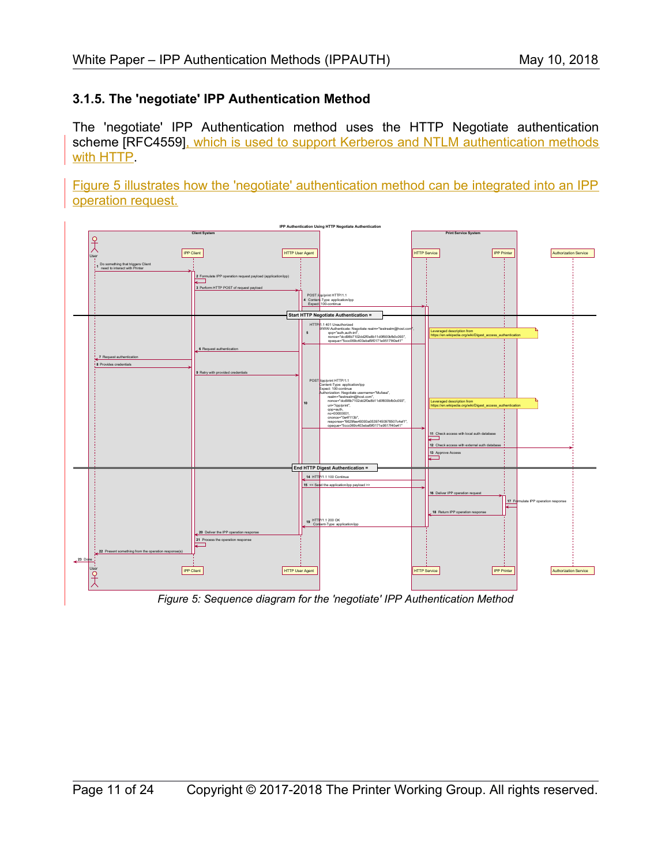#### **3.1.5. The 'negotiate' IPP Authentication Method**

The 'negotiate' IPP Authentication method uses the HTTP Negotiate authentication scheme [\[RFC4559\],](#page-19-1) which is used to support Kerberos and NTLM authentication methods with HTTP.

[Figure 5](#page-10-0) illustrates how the 'negotiate' authentication method can be integrated into an IPP operation request.



<span id="page-10-0"></span>*Figure 5: Sequence diagram for the 'negotiate' IPP Authentication Method*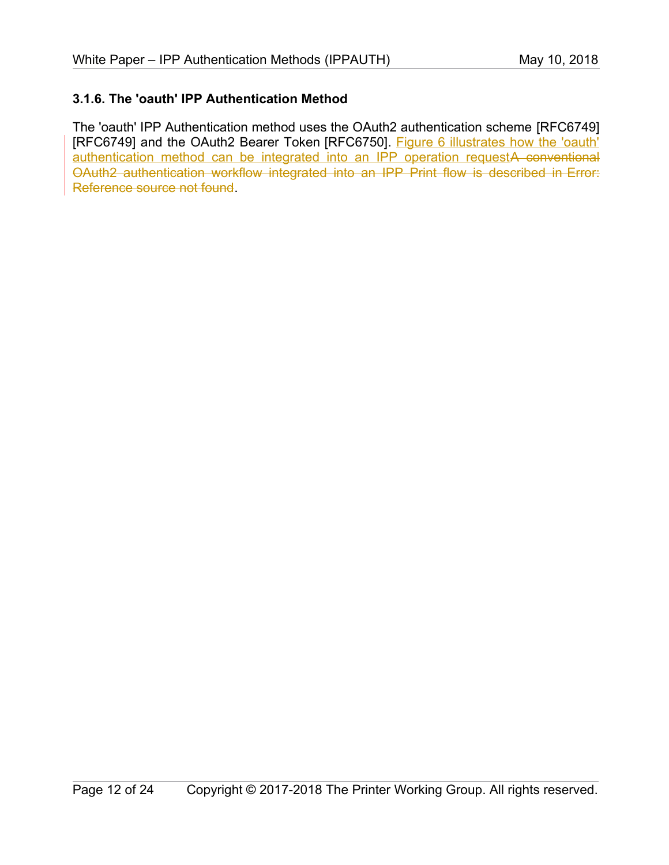#### **3.1.6. The 'oauth' IPP Authentication Method**

<span id="page-11-0"></span>The 'oauth' IPP Authentication method uses the OAuth2 authentication scheme [\[RFC6749\]](#page-19-2) [\[RFC6749\]](#page-19-2) and the OAuth2 Bearer Token [\[RFC6750\].](#page-20-5) [Figure 6](#page-12-0) illustrates how the 'oauth' authentication method can be integrated into an IPP operation requestA conventional OAuth2 authentication workflow integrated into an IPP Print flow is described in [Error:](#page-11-0) [Reference source not found.](#page-11-0)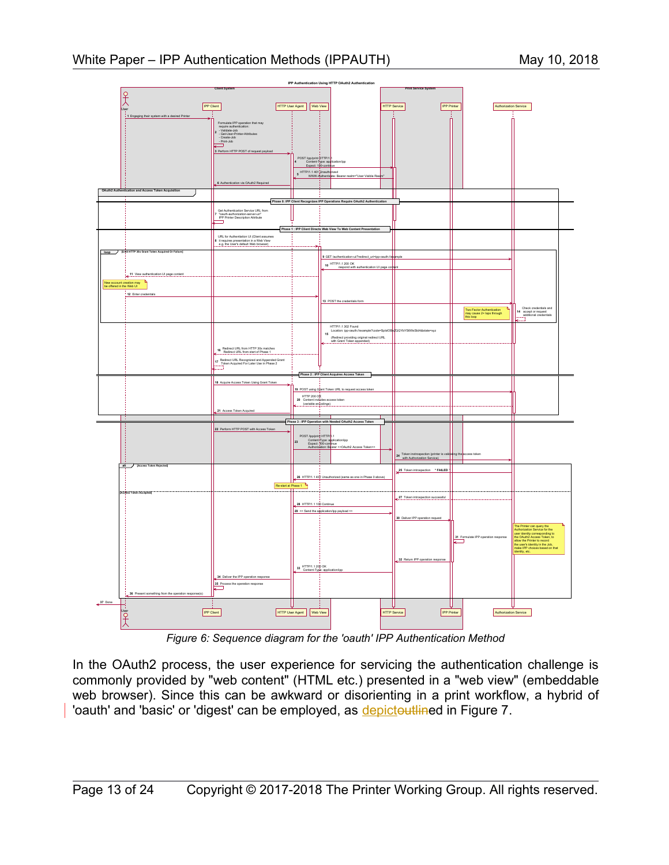

<span id="page-12-0"></span>*Figure 6: Sequence diagram for the 'oauth' IPP Authentication Method*

In the OAuth2 process, the user experience for servicing the authentication challenge is commonly provided by "web content" (HTML etc.) presented in a "web view" (embeddable web browser). Since this can be awkward or disorienting in a print workflow, a hybrid of 'oauth' and 'basic' or 'digest' can be employed, as depictoutlined in [Figure 7.](#page-13-0)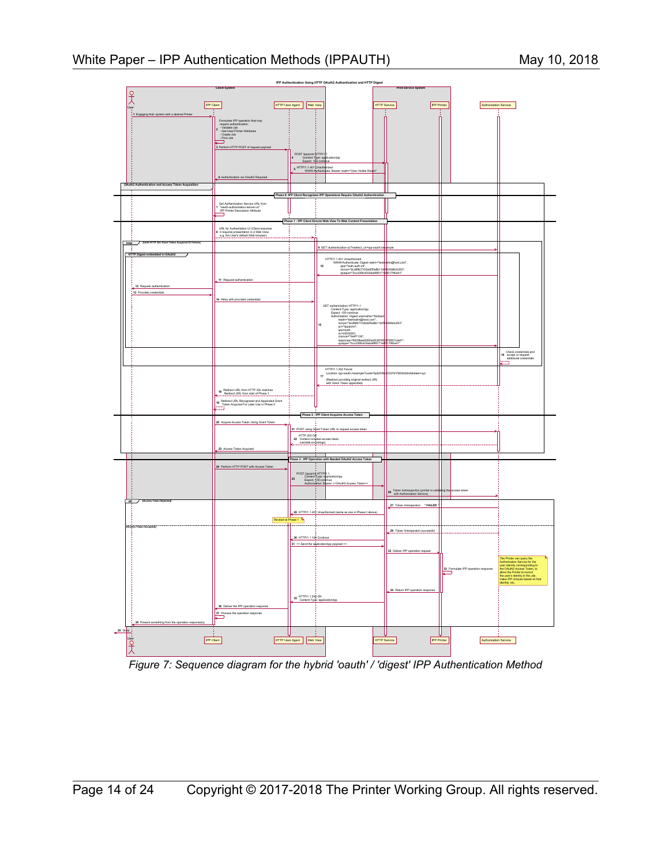

<span id="page-13-0"></span>*Figure 7: Sequence diagram for the hybrid 'oauth' / 'digest' IPP Authentication Method*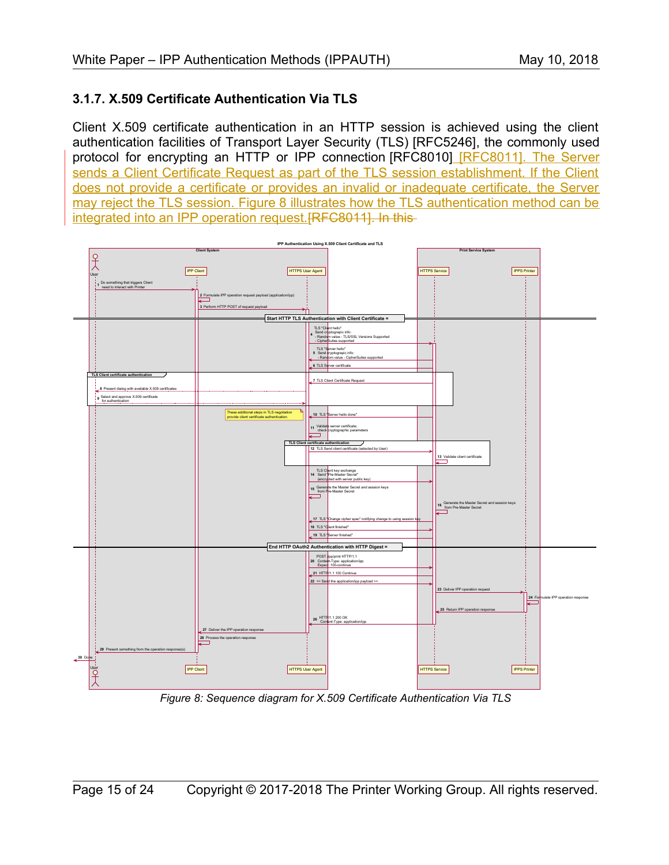#### **3.1.7. X.509 Certificate Authentication Via TLS**

Client X.509 certificate authentication in an HTTP session is achieved using the client authentication facilities of Transport Layer Security (TLS) [\[RFC5246\],](#page-19-3) the commonly used protocol for encrypting an HTTP or IPP connection [\[RFC8010\]](#page-20-0) [\[RFC8011\].](#page-20-2) The Server sends a Client Certificate Request as part of the TLS session establishment. If the Client does not provide a certificate or provides an invalid or inadequate certificate, the Server may reject the TLS session. [Figure 8](#page-14-0) illustrates how the TLS authentication method can be integrated into an IPP operation request. [RFC8011]. In this-



<span id="page-14-0"></span>*Figure 8: Sequence diagram for X.509 Certificate Authentication Via TLS*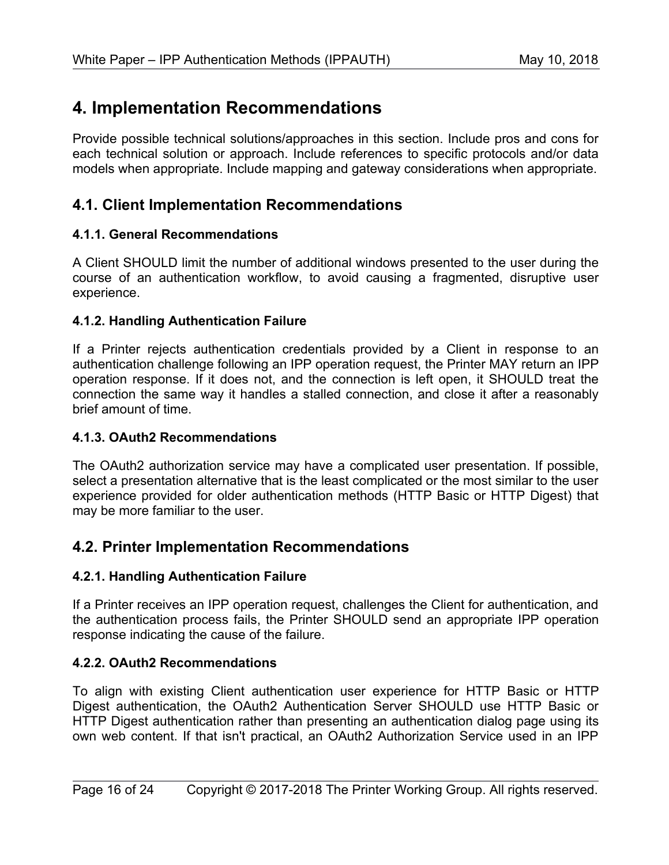# **4. Implementation Recommendations**

Provide possible technical solutions/approaches in this section. Include pros and cons for each technical solution or approach. Include references to specific protocols and/or data models when appropriate. Include mapping and gateway considerations when appropriate.

### **4.1. Client Implementation Recommendations**

#### **4.1.1. General Recommendations**

A Client SHOULD limit the number of additional windows presented to the user during the course of an authentication workflow, to avoid causing a fragmented, disruptive user experience.

#### **4.1.2. Handling Authentication Failure**

If a Printer rejects authentication credentials provided by a Client in response to an authentication challenge following an IPP operation request, the Printer MAY return an IPP operation response. If it does not, and the connection is left open, it SHOULD treat the connection the same way it handles a stalled connection, and close it after a reasonably brief amount of time.

#### **4.1.3. OAuth2 Recommendations**

The OAuth2 authorization service may have a complicated user presentation. If possible, select a presentation alternative that is the least complicated or the most similar to the user experience provided for older authentication methods (HTTP Basic or HTTP Digest) that may be more familiar to the user.

### **4.2. Printer Implementation Recommendations**

#### **4.2.1. Handling Authentication Failure**

If a Printer receives an IPP operation request, challenges the Client for authentication, and the authentication process fails, the Printer SHOULD send an appropriate IPP operation response indicating the cause of the failure.

#### **4.2.2. OAuth2 Recommendations**

To align with existing Client authentication user experience for HTTP Basic or HTTP Digest authentication, the OAuth2 Authentication Server SHOULD use HTTP Basic or HTTP Digest authentication rather than presenting an authentication dialog page using its own web content. If that isn't practical, an OAuth2 Authorization Service used in an IPP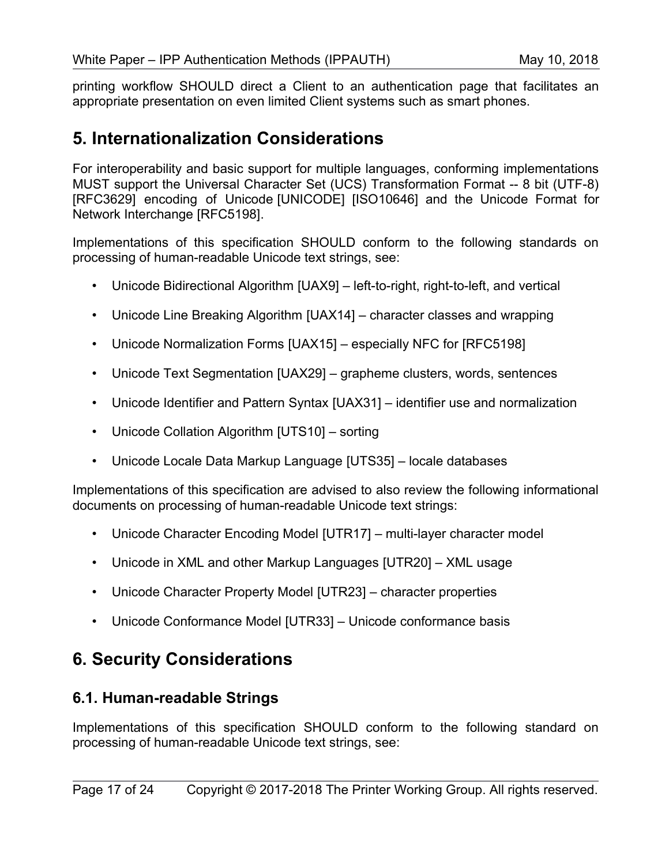printing workflow SHOULD direct a Client to an authentication page that facilitates an appropriate presentation on even limited Client systems such as smart phones.

## **5. Internationalization Considerations**

For interoperability and basic support for multiple languages, conforming implementations MUST support the Universal Character Set (UCS) Transformation Format -- 8 bit (UTF-8) [\[RFC3629\]](#page-19-6) encoding of Unicode [\[UNICODE\]](#page-20-11) [\[ISO10646\]](#page-19-5) and the Unicode Format for Network Interchange [\[RFC5198\].](#page-19-4)

Implementations of this specification SHOULD conform to the following standards on processing of human-readable Unicode text strings, see:

- Unicode Bidirectional Algorithm [\[UAX9\]](#page-20-10)  left-to-right, right-to-left, and vertical
- Unicode Line Breaking Algorithm [\[UAX14\]](#page-20-9)  character classes and wrapping
- Unicode Normalization Forms [\[UAX15\]](#page-20-8)  especially NFC for [\[RFC5198\]](#page-19-4)
- Unicode Text Segmentation [\[UAX29\]](#page-20-7)  grapheme clusters, words, sentences
- Unicode Identifier and Pattern Syntax [\[UAX31\]](#page-20-6)  identifier use and normalization
- Unicode Collation Algorithm [\[UTS10\]](#page-21-7)  sorting
- Unicode Locale Data Markup Language [\[UTS35\]](#page-21-6)  locale databases

Implementations of this specification are advised to also review the following informational documents on processing of human-readable Unicode text strings:

- Unicode Character Encoding Model [\[UTR17\]](#page-21-5)  multi-layer character model
- Unicode in XML and other Markup Languages [\[UTR20\]](#page-21-4)  XML usage
- Unicode Character Property Model [\[UTR23\]](#page-21-3)  character properties
- Unicode Conformance Model [\[UTR33\]](#page-21-2)  Unicode conformance basis

# **6. Security Considerations**

### **6.1. Human-readable Strings**

Implementations of this specification SHOULD conform to the following standard on processing of human-readable Unicode text strings, see: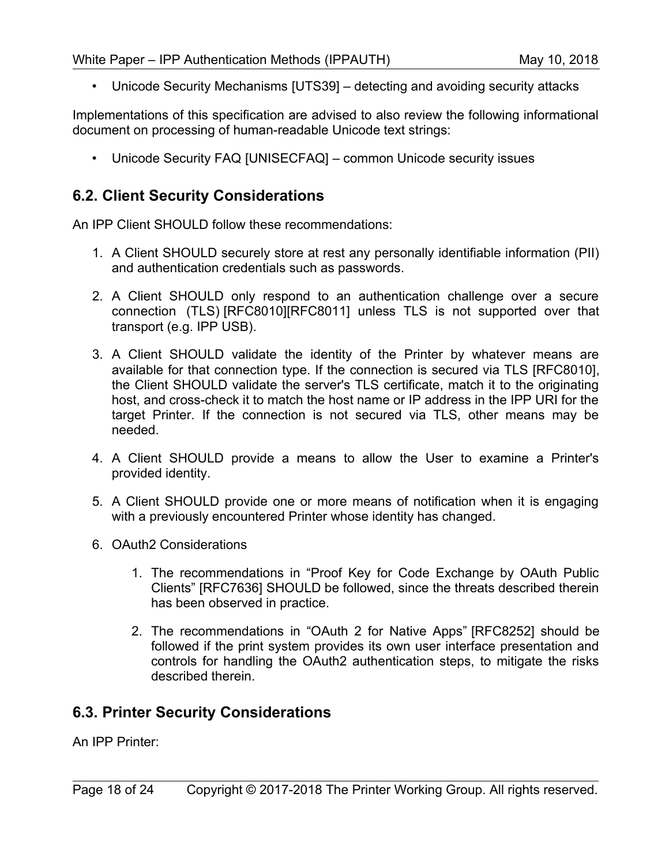• Unicode Security Mechanisms [\[UTS39\]](#page-21-9) – detecting and avoiding security attacks

Implementations of this specification are advised to also review the following informational document on processing of human-readable Unicode text strings:

• Unicode Security FAQ [\[UNISECFAQ\]](#page-21-8) – common Unicode security issues

### **6.2. Client Security Considerations**

An IPP Client SHOULD follow these recommendations:

- 1. A Client SHOULD securely store at rest any personally identifiable information (PII) and authentication credentials such as passwords.
- 2. A Client SHOULD only respond to an authentication challenge over a secure connection (TLS) [\[RFC8010\]](#page-20-0)[\[RFC8011\]](#page-20-2) unless TLS is not supported over that transport (e.g. IPP USB).
- 3. A Client SHOULD validate the identity of the Printer by whatever means are available for that connection type. If the connection is secured via TLS [\[RFC8010\],](#page-20-0) the Client SHOULD validate the server's TLS certificate, match it to the originating host, and cross-check it to match the host name or IP address in the IPP URI for the target Printer. If the connection is not secured via TLS, other means may be needed.
- 4. A Client SHOULD provide a means to allow the User to examine a Printer's provided identity.
- 5. A Client SHOULD provide one or more means of notification when it is engaging with a previously encountered Printer whose identity has changed.
- 6. OAuth2 Considerations
	- 1. The recommendations in "Proof Key for Code Exchange by OAuth Public Clients" [\[RFC7636\]](#page-20-13) SHOULD be followed, since the threats described therein has been observed in practice.
	- 2. The recommendations in "OAuth 2 for Native Apps" [\[RFC8252\]](#page-20-12) should be followed if the print system provides its own user interface presentation and controls for handling the OAuth2 authentication steps, to mitigate the risks described therein.

### **6.3. Printer Security Considerations**

An IPP Printer: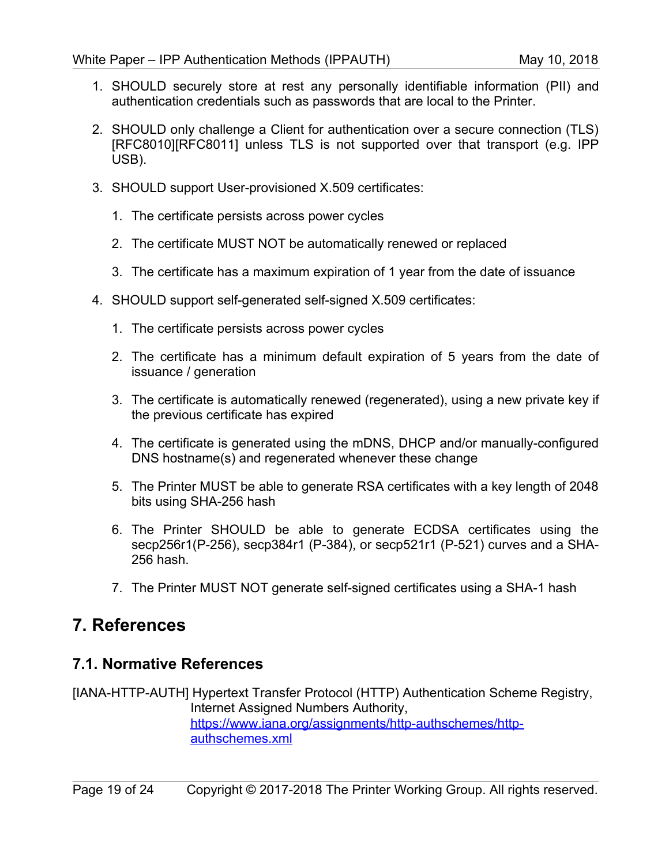- 1. SHOULD securely store at rest any personally identifiable information (PII) and authentication credentials such as passwords that are local to the Printer.
- 2. SHOULD only challenge a Client for authentication over a secure connection (TLS) [\[RFC8010\]](#page-20-0)[\[RFC8011\]](#page-20-2) unless TLS is not supported over that transport (e.g. IPP USB).
- 3. SHOULD support User-provisioned X.509 certificates:
	- 1. The certificate persists across power cycles
	- 2. The certificate MUST NOT be automatically renewed or replaced
	- 3. The certificate has a maximum expiration of 1 year from the date of issuance
- 4. SHOULD support self-generated self-signed X.509 certificates:
	- 1. The certificate persists across power cycles
	- 2. The certificate has a minimum default expiration of 5 years from the date of issuance / generation
	- 3. The certificate is automatically renewed (regenerated), using a new private key if the previous certificate has expired
	- 4. The certificate is generated using the mDNS, DHCP and/or manually-configured DNS hostname(s) and regenerated whenever these change
	- 5. The Printer MUST be able to generate RSA certificates with a key length of 2048 bits using SHA-256 hash
	- 6. The Printer SHOULD be able to generate ECDSA certificates using the secp256r1(P-256), secp384r1 (P-384), or secp521r1 (P-521) curves and a SHA-256 hash.
	- 7. The Printer MUST NOT generate self-signed certificates using a SHA-1 hash

## **7. References**

#### **7.1. Normative References**

[IANA-HTTP-AUTH] Hypertext Transfer Protocol (HTTP) Authentication Scheme Registry, Internet Assigned Numbers Authority, [https://www.iana.org/assignments/http-authschemes/http](https://www.iana.org/assignments/http-authschemes/http-authschemes.xml)[authschemes.xml](https://www.iana.org/assignments/http-authschemes/http-authschemes.xml)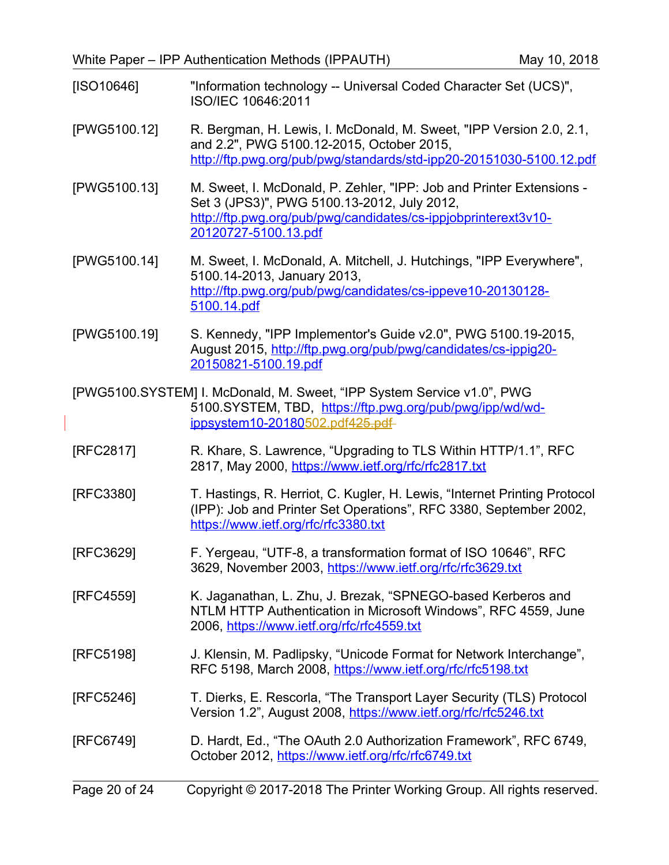<span id="page-19-5"></span>

| [ SO10646] | "Information technology -- Universal Coded Character Set (UCS)", |
|------------|------------------------------------------------------------------|
|            | ISO/IEC 10646:2011                                               |

- [PWG5100.12] R. Bergman, H. Lewis, I. McDonald, M. Sweet, "IPP Version 2.0, 2.1, and 2.2", PWG 5100.12-2015, October 2015, <http://ftp.pwg.org/pub/pwg/standards/std-ipp20-20151030-5100.12.pdf>
- [PWG5100.13] M. Sweet, I. McDonald, P. Zehler, "IPP: Job and Printer Extensions Set 3 (JPS3)", PWG 5100.13-2012, July 2012, [http://ftp.pwg.org/pub/pwg/candidates/cs-ippjobprinterext3v10-](http://ftp.pwg.org/pub/pwg/candidates/cs-ippjobprinterext3v10-20120727-5100.13.pdf) [20120727-5100.13.pdf](http://ftp.pwg.org/pub/pwg/candidates/cs-ippjobprinterext3v10-20120727-5100.13.pdf)
- [PWG5100.14] M. Sweet, I. McDonald, A. Mitchell, J. Hutchings, "IPP Everywhere", 5100.14-2013, January 2013, [http://ftp.pwg.org/pub/pwg/candidates/cs-ippeve10-20130128-](http://ftp.pwg.org/pub/pwg/candidates/cs-ippeve10-20130128-5100.14.pdf) [5100.14.pdf](http://ftp.pwg.org/pub/pwg/candidates/cs-ippeve10-20130128-5100.14.pdf)
- [PWG5100.19] S. Kennedy, "IPP Implementor's Guide v2.0", PWG 5100.19-2015, August 2015, [http://ftp.pwg.org/pub/pwg/candidates/cs-ippig20-](http://ftp.pwg.org/pub/pwg/candidates/cs-ippig20-20150821-5100.19.pdf) [20150821-5100.19.pdf](http://ftp.pwg.org/pub/pwg/candidates/cs-ippig20-20150821-5100.19.pdf)
- [PWG5100.SYSTEM] I. McDonald, M. Sweet, "IPP System Service v1.0", PWG 5100.SYSTEM, TBD, [https://ftp.pwg.org/pub/pwg/ipp/wd/wd-](https://ftp.pwg.org/pub/pwg/ipp/wd/wd-ippsystem10-20180502.pdf) ippsystem10-20180502.pdf[425.pdf](https://ftp.pwg.org/pub/pwg/ipp/wd/wd-ippsystem10-20180425.pdf)
- [RFC2817] R. Khare, S. Lawrence, "Upgrading to TLS Within HTTP/1.1", RFC 2817, May 2000,<https://www.ietf.org/rfc/rfc2817.txt>
- <span id="page-19-0"></span>[RFC3380] T. Hastings, R. Herriot, C. Kugler, H. Lewis, "Internet Printing Protocol (IPP): Job and Printer Set Operations", RFC 3380, September 2002, <https://www.ietf.org/rfc/rfc3380.txt>
- <span id="page-19-6"></span>[RFC3629] F. Yergeau, "UTF-8, a transformation format of ISO 10646", RFC 3629, November 2003,<https://www.ietf.org/rfc/rfc3629.txt>
- <span id="page-19-1"></span>[RFC4559] K. Jaganathan, L. Zhu, J. Brezak, "SPNEGO-based Kerberos and NTLM HTTP Authentication in Microsoft Windows", RFC 4559, June 2006,<https://www.ietf.org/rfc/rfc4559.txt>
- <span id="page-19-4"></span>[RFC5198] J. Klensin, M. Padlipsky, "Unicode Format for Network Interchange", RFC 5198, March 2008,<https://www.ietf.org/rfc/rfc5198.txt>
- <span id="page-19-3"></span>[RFC5246] T. Dierks, E. Rescorla, "The Transport Layer Security (TLS) Protocol Version 1.2", August 2008,<https://www.ietf.org/rfc/rfc5246.txt>
- <span id="page-19-2"></span>[RFC6749] D. Hardt, Ed., "The OAuth 2.0 Authorization Framework", RFC 6749, October 2012,<https://www.ietf.org/rfc/rfc6749.txt>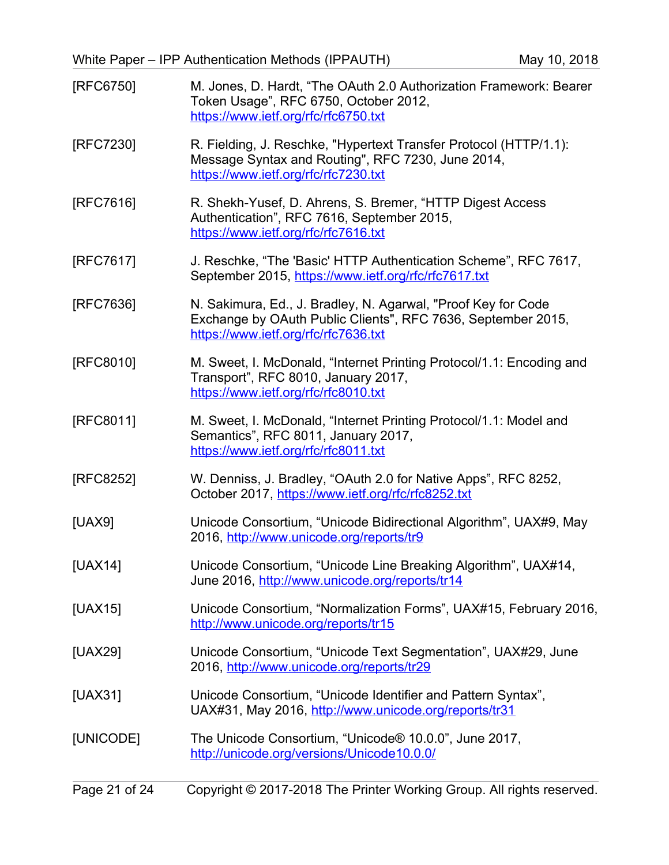<span id="page-20-13"></span><span id="page-20-12"></span><span id="page-20-11"></span><span id="page-20-10"></span><span id="page-20-9"></span><span id="page-20-8"></span><span id="page-20-7"></span><span id="page-20-6"></span><span id="page-20-5"></span><span id="page-20-4"></span><span id="page-20-3"></span><span id="page-20-2"></span><span id="page-20-1"></span><span id="page-20-0"></span>

| [RFC6750] | M. Jones, D. Hardt, "The OAuth 2.0 Authorization Framework: Bearer<br>Token Usage", RFC 6750, October 2012,<br>https://www.ietf.org/rfc/rfc6750.txt                   |
|-----------|-----------------------------------------------------------------------------------------------------------------------------------------------------------------------|
| [RFC7230] | R. Fielding, J. Reschke, "Hypertext Transfer Protocol (HTTP/1.1):<br>Message Syntax and Routing", RFC 7230, June 2014,<br>https://www.ietf.org/rfc/rfc7230.txt        |
| [RFC7616] | R. Shekh-Yusef, D. Ahrens, S. Bremer, "HTTP Digest Access<br>Authentication", RFC 7616, September 2015,<br>https://www.ietf.org/rfc/rfc7616.txt                       |
| [RFC7617] | J. Reschke, "The 'Basic' HTTP Authentication Scheme", RFC 7617,<br>September 2015, https://www.ietf.org/rfc/rfc7617.txt                                               |
| [RFC7636] | N. Sakimura, Ed., J. Bradley, N. Agarwal, "Proof Key for Code<br>Exchange by OAuth Public Clients", RFC 7636, September 2015,<br>https://www.ietf.org/rfc/rfc7636.txt |
| [RFC8010] | M. Sweet, I. McDonald, "Internet Printing Protocol/1.1: Encoding and<br>Transport", RFC 8010, January 2017,<br>https://www.ietf.org/rfc/rfc8010.txt                   |
| [RFC8011] | M. Sweet, I. McDonald, "Internet Printing Protocol/1.1: Model and<br>Semantics", RFC 8011, January 2017,<br>https://www.ietf.org/rfc/rfc8011.txt                      |
| [RFC8252] | W. Denniss, J. Bradley, "OAuth 2.0 for Native Apps", RFC 8252,<br>October 2017, https://www.ietf.org/rfc/rfc8252.txt                                                  |
| [UAX9]    | Unicode Consortium, "Unicode Bidirectional Algorithm", UAX#9, May<br>2016, http://www.unicode.org/reports/tr9                                                         |
| [UAX14]   | Unicode Consortium, "Unicode Line Breaking Algorithm", UAX#14,<br>June 2016, http://www.unicode.org/reports/tr14                                                      |
| [UAX15]   | Unicode Consortium, "Normalization Forms", UAX#15, February 2016,<br>http://www.unicode.org/reports/tr15                                                              |
| [UAX29]   | Unicode Consortium, "Unicode Text Segmentation", UAX#29, June<br>2016, http://www.unicode.org/reports/tr29                                                            |
| [UAX31]   | Unicode Consortium, "Unicode Identifier and Pattern Syntax",<br>UAX#31, May 2016, http://www.unicode.org/reports/tr31                                                 |
| [UNICODE] | The Unicode Consortium, "Unicode® 10.0.0", June 2017,<br>http://unicode.org/versions/Unicode10.0.0/                                                                   |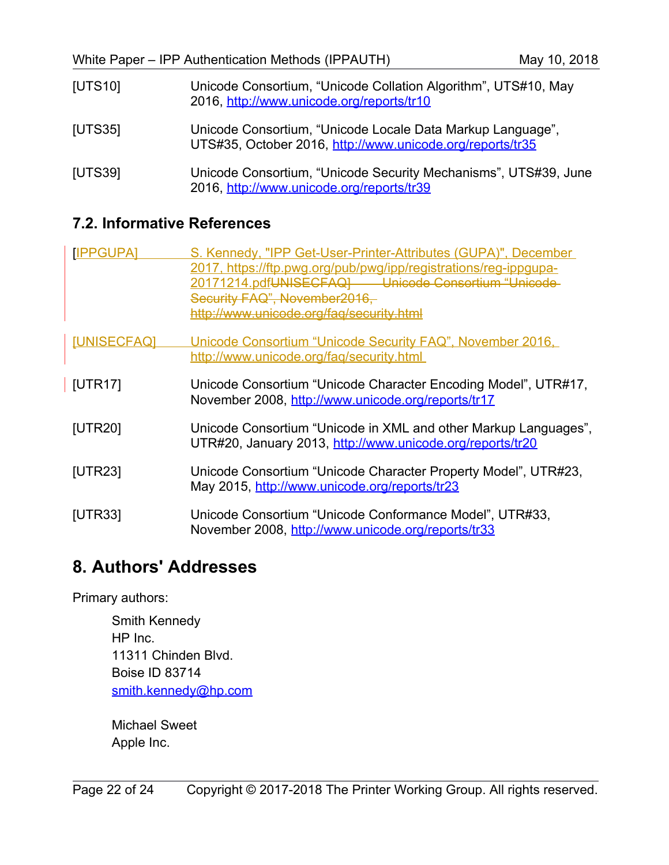<span id="page-21-7"></span><span id="page-21-6"></span>

| [UTS10] | Unicode Consortium, "Unicode Collation Algorithm", UTS#10, May<br>2016, http://www.unicode.org/reports/tr10             |
|---------|-------------------------------------------------------------------------------------------------------------------------|
| [UTS35] | Unicode Consortium, "Unicode Locale Data Markup Language",<br>UTS#35, October 2016, http://www.unicode.org/reports/tr35 |
| [UTS39] | Unicode Consortium, "Unicode Security Mechanisms", UTS#39, June<br>2016, http://www.unicode.org/reports/tr39            |

## <span id="page-21-9"></span>**7.2. Informative References**

<span id="page-21-8"></span><span id="page-21-5"></span><span id="page-21-0"></span>

| [IPPGUPA]          | S. Kennedy, "IPP Get-User-Printer-Attributes (GUPA)", December<br>2017, https://ftp.pwg.org/pub/pwg/ipp/registrations/reg-ippqupa-<br>20171214.pdfUNISECFAQ Unicode Consortium "Unicode-<br>Security FAQ", November2016,<br>http://www.unicode.org/fag/security.html |
|--------------------|----------------------------------------------------------------------------------------------------------------------------------------------------------------------------------------------------------------------------------------------------------------------|
| <b>[UNISECFAQ]</b> | Unicode Consortium "Unicode Security FAQ", November 2016,<br>http://www.unicode.org/faq/security.html                                                                                                                                                                |
| [UTR17]            | Unicode Consortium "Unicode Character Encoding Model", UTR#17,<br>November 2008, http://www.unicode.org/reports/tr17                                                                                                                                                 |
| [UTR20]            | Unicode Consortium "Unicode in XML and other Markup Languages",<br>UTR#20, January 2013, http://www.unicode.org/reports/tr20                                                                                                                                         |
| [UTR23]            | Unicode Consortium "Unicode Character Property Model", UTR#23,<br>May 2015, http://www.unicode.org/reports/tr23                                                                                                                                                      |
| [UTR33]            | Unicode Consortium "Unicode Conformance Model", UTR#33,<br>November 2008, http://www.unicode.org/reports/tr33                                                                                                                                                        |

# <span id="page-21-4"></span><span id="page-21-3"></span><span id="page-21-2"></span>**8. Authors' Addresses**

Primary authors:

Smith Kennedy HP Inc. 11311 Chinden Blvd. Boise ID 83714 [smith.kennedy@hp.com](mailto:smith.kennedy@hp.com)

<span id="page-21-1"></span>Michael Sweet Apple Inc.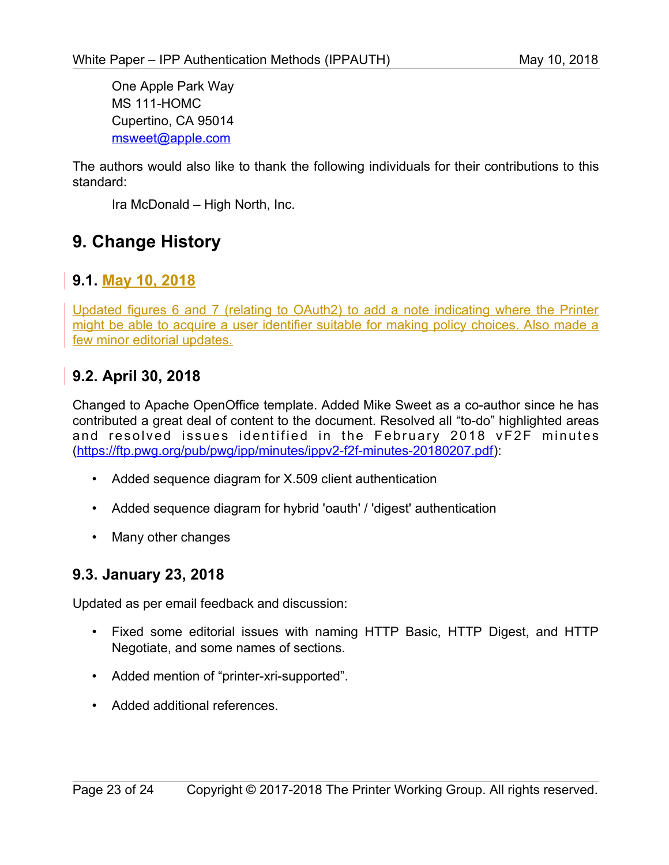One Apple Park Way MS 111-HOMC Cupertino, CA 95014 [msweet@apple.com](mailto:msweet@apple.com)

The authors would also like to thank the following individuals for their contributions to this standard:

Ira McDonald – High North, Inc.

# **9. Change History**

## **9.1. May 10, 2018**

Updated figures 6 and 7 (relating to OAuth2) to add a note indicating where the Printer might be able to acquire a user identifier suitable for making policy choices. Also made a few minor editorial updates.

## **9.2. April 30, 2018**

Changed to Apache OpenOffice template. Added Mike Sweet as a co-author since he has contributed a great deal of content to the document. Resolved all "to-do" highlighted areas and resolved issues identified in the February 2018 vF2F minutes [\(https://ftp.pwg.org/pub/pwg/ipp/minutes/ippv2-f2f-minutes-20180207.pdf\)](https://ftp.pwg.org/pub/pwg/ipp/minutes/ippv2-f2f-minutes-20180207.pdf):

- Added sequence diagram for X.509 client authentication
- Added sequence diagram for hybrid 'oauth' / 'digest' authentication
- Many other changes

### **9.3. January 23, 2018**

Updated as per email feedback and discussion:

- Fixed some editorial issues with naming HTTP Basic, HTTP Digest, and HTTP Negotiate, and some names of sections.
- Added mention of "printer-xri-supported".
- Added additional references.